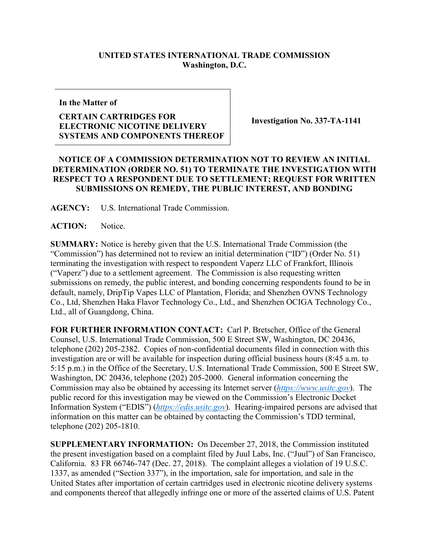## **UNITED STATES INTERNATIONAL TRADE COMMISSION Washington, D.C.**

**In the Matter of**

## **CERTAIN CARTRIDGES FOR ELECTRONIC NICOTINE DELIVERY SYSTEMS AND COMPONENTS THEREOF**

**Investigation No. 337-TA-1141**

## **NOTICE OF A COMMISSION DETERMINATION NOT TO REVIEW AN INITIAL DETERMINATION (ORDER NO. 51) TO TERMINATE THE INVESTIGATION WITH RESPECT TO A RESPONDENT DUE TO SETTLEMENT; REQUEST FOR WRITTEN SUBMISSIONS ON REMEDY, THE PUBLIC INTEREST, AND BONDING**

**AGENCY:** U.S. International Trade Commission.

ACTION: Notice.

**SUMMARY:** Notice is hereby given that the U.S. International Trade Commission (the "Commission") has determined not to review an initial determination ("ID") (Order No. 51) terminating the investigation with respect to respondent Vaperz LLC of Frankfort, Illinois ("Vaperz") due to a settlement agreement. The Commission is also requesting written submissions on remedy, the public interest, and bonding concerning respondents found to be in default, namely, DripTip Vapes LLC of Plantation, Florida; and Shenzhen OVNS Technology Co., Ltd, Shenzhen Haka Flavor Technology Co., Ltd., and Shenzhen OCIGA Technology Co., Ltd., all of Guangdong, China.

**FOR FURTHER INFORMATION CONTACT:** Carl P. Bretscher, Office of the General Counsel, U.S. International Trade Commission, 500 E Street SW, Washington, DC 20436, telephone (202) 205-2382. Copies of non-confidential documents filed in connection with this investigation are or will be available for inspection during official business hours (8:45 a.m. to 5:15 p.m.) in the Office of the Secretary, U.S. International Trade Commission, 500 E Street SW, Washington, DC 20436, telephone (202) 205-2000. General information concerning the Commission may also be obtained by accessing its Internet server (*[https://www.usitc.gov](https://www.usitc.gov/)*). The public record for this investigation may be viewed on the Commission's Electronic Docket Information System ("EDIS") (*[https://edis.usitc.gov](https://edis.usitc.gov/)*). Hearing-impaired persons are advised that information on this matter can be obtained by contacting the Commission's TDD terminal, telephone (202) 205-1810.

**SUPPLEMENTARY INFORMATION:** On December 27, 2018, the Commission instituted the present investigation based on a complaint filed by Juul Labs, Inc. ("Juul") of San Francisco, California. 83 FR 66746-747 (Dec. 27, 2018). The complaint alleges a violation of 19 U.S.C. 1337, as amended ("Section 337"), in the importation, sale for importation, and sale in the United States after importation of certain cartridges used in electronic nicotine delivery systems and components thereof that allegedly infringe one or more of the asserted claims of U.S. Patent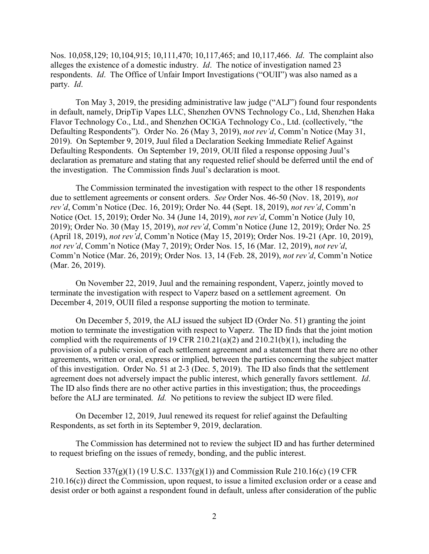Nos. 10,058,129; 10,104,915; 10,111,470; 10,117,465; and 10,117,466. *Id*. The complaint also alleges the existence of a domestic industry. *Id*. The notice of investigation named 23 respondents. *Id*. The Office of Unfair Import Investigations ("OUII") was also named as a party. *Id*.

Ton May 3, 2019, the presiding administrative law judge ("ALJ") found four respondents in default, namely, DripTip Vapes LLC, Shenzhen OVNS Technology Co., Ltd, Shenzhen Haka Flavor Technology Co., Ltd., and Shenzhen OCIGA Technology Co., Ltd. (collectively, "the Defaulting Respondents"). Order No. 26 (May 3, 2019), *not rev'd*, Comm'n Notice (May 31, 2019). On September 9, 2019, Juul filed a Declaration Seeking Immediate Relief Against Defaulting Respondents. On September 19, 2019, OUII filed a response opposing Juul's declaration as premature and stating that any requested relief should be deferred until the end of the investigation. The Commission finds Juul's declaration is moot.

The Commission terminated the investigation with respect to the other 18 respondents due to settlement agreements or consent orders. *See* Order Nos. 46-50 (Nov. 18, 2019), *not rev'd*, Comm'n Notice (Dec. 16, 2019); Order No. 44 (Sept. 18, 2019), *not rev'd*, Comm'n Notice (Oct. 15, 2019); Order No. 34 (June 14, 2019), *not rev'd*, Comm'n Notice (July 10, 2019); Order No. 30 (May 15, 2019), *not rev'd*, Comm'n Notice (June 12, 2019); Order No. 25 (April 18, 2019), *not rev'd*, Comm'n Notice (May 15, 2019); Order Nos. 19-21 (Apr. 10, 2019), *not rev'd*, Comm'n Notice (May 7, 2019); Order Nos. 15, 16 (Mar. 12, 2019), *not rev'd*, Comm'n Notice (Mar. 26, 2019); Order Nos. 13, 14 (Feb. 28, 2019), *not rev'd*, Comm'n Notice (Mar. 26, 2019).

On November 22, 2019, Juul and the remaining respondent, Vaperz, jointly moved to terminate the investigation with respect to Vaperz based on a settlement agreement. On December 4, 2019, OUII filed a response supporting the motion to terminate.

On December 5, 2019, the ALJ issued the subject ID (Order No. 51) granting the joint motion to terminate the investigation with respect to Vaperz. The ID finds that the joint motion complied with the requirements of 19 CFR 210.21(a)(2) and 210.21(b)(1), including the provision of a public version of each settlement agreement and a statement that there are no other agreements, written or oral, express or implied, between the parties concerning the subject matter of this investigation. Order No. 51 at 2-3 (Dec. 5, 2019). The ID also finds that the settlement agreement does not adversely impact the public interest, which generally favors settlement. *Id*. The ID also finds there are no other active parties in this investigation; thus, the proceedings before the ALJ are terminated. *Id.* No petitions to review the subject ID were filed.

On December 12, 2019, Juul renewed its request for relief against the Defaulting Respondents, as set forth in its September 9, 2019, declaration.

The Commission has determined not to review the subject ID and has further determined to request briefing on the issues of remedy, bonding, and the public interest.

Section 337(g)(1) (19 U.S.C. 1337(g)(1)) and Commission Rule 210.16(c) (19 CFR 210.16(c)) direct the Commission, upon request, to issue a limited exclusion order or a cease and desist order or both against a respondent found in default, unless after consideration of the public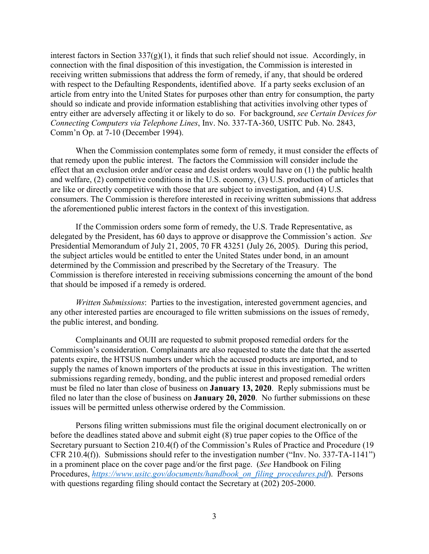interest factors in Section  $337(g)(1)$ , it finds that such relief should not issue. Accordingly, in connection with the final disposition of this investigation, the Commission is interested in receiving written submissions that address the form of remedy, if any, that should be ordered with respect to the Defaulting Respondents, identified above. If a party seeks exclusion of an article from entry into the United States for purposes other than entry for consumption, the party should so indicate and provide information establishing that activities involving other types of entry either are adversely affecting it or likely to do so. For background, *see Certain Devices for Connecting Computers via Telephone Lines*, Inv. No. 337-TA-360, USITC Pub. No. 2843, Comm'n Op. at 7-10 (December 1994).

When the Commission contemplates some form of remedy, it must consider the effects of that remedy upon the public interest. The factors the Commission will consider include the effect that an exclusion order and/or cease and desist orders would have on (1) the public health and welfare, (2) competitive conditions in the U.S. economy, (3) U.S. production of articles that are like or directly competitive with those that are subject to investigation, and (4) U.S. consumers. The Commission is therefore interested in receiving written submissions that address the aforementioned public interest factors in the context of this investigation.

If the Commission orders some form of remedy, the U.S. Trade Representative, as delegated by the President, has 60 days to approve or disapprove the Commission's action. *See* Presidential Memorandum of July 21, 2005, 70 FR 43251 (July 26, 2005). During this period, the subject articles would be entitled to enter the United States under bond, in an amount determined by the Commission and prescribed by the Secretary of the Treasury. The Commission is therefore interested in receiving submissions concerning the amount of the bond that should be imposed if a remedy is ordered.

*Written Submissions*: Parties to the investigation, interested government agencies, and any other interested parties are encouraged to file written submissions on the issues of remedy, the public interest, and bonding.

Complainants and OUII are requested to submit proposed remedial orders for the Commission's consideration. Complainants are also requested to state the date that the asserted patents expire, the HTSUS numbers under which the accused products are imported, and to supply the names of known importers of the products at issue in this investigation. The written submissions regarding remedy, bonding, and the public interest and proposed remedial orders must be filed no later than close of business on **January 13, 2020**. Reply submissions must be filed no later than the close of business on **January 20, 2020**. No further submissions on these issues will be permitted unless otherwise ordered by the Commission.

Persons filing written submissions must file the original document electronically on or before the deadlines stated above and submit eight (8) true paper copies to the Office of the Secretary pursuant to Section 210.4(f) of the Commission's Rules of Practice and Procedure (19 CFR 210.4(f)). Submissions should refer to the investigation number ("Inv. No. 337-TA-1141") in a prominent place on the cover page and/or the first page. (*See* Handbook on Filing Procedures, *[https://www.usitc.gov/documents/handbook\\_on\\_filing\\_procedures.pdf](https://www.usitc.gov/documents/handbook_on_filing_procedures.pdf)*). Persons with questions regarding filing should contact the Secretary at  $(202)$  205-2000.